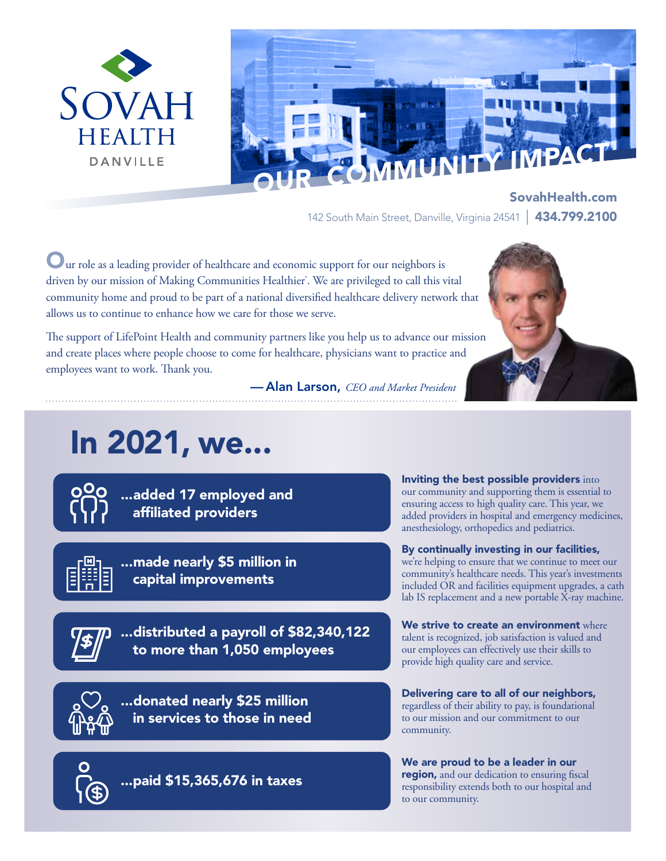



SovahHealth.com 142 South Main Street, Danville, Virginia 24541 | 434.799.2100

Our role as a leading provider of healthcare and economic support for our neighbors is driven by our mission of Making Communities Healthier<sup>®</sup>. We are privileged to call this vital community home and proud to be part of a national diversified healthcare delivery network that allows us to continue to enhance how we care for those we serve.

The support of LifePoint Health and community partners like you help us to advance our mission and create places where people choose to come for healthcare, physicians want to practice and employees want to work. Thank you.

— Alan Larson, *CEO and Market President*

# In 2021, we...

...added 17 employed and affiliated providers



...made nearly \$5 million in capital improvements

...distributed a payroll of \$82,340,122 to more than 1,050 employees



...donated nearly \$25 million in services to those in need

...paid \$15,365,676 in taxes

Inviting the best possible providers into our community and supporting them is essential to ensuring access to high quality care. This year, we added providers in hospital and emergency medicines, anesthesiology, orthopedics and pediatrics.

#### By continually investing in our facilities,

we're helping to ensure that we continue to meet our community's healthcare needs. This year's investments included OR and facilities equipment upgrades, a cath lab IS replacement and a new portable  $\bar{X}$ -ray machine.

We strive to create an environment where talent is recognized, job satisfaction is valued and our employees can effectively use their skills to provide high quality care and service.

Delivering care to all of our neighbors, regardless of their ability to pay, is foundational to our mission and our commitment to our community.

We are proud to be a leader in our region, and our dedication to ensuring fiscal responsibility extends both to our hospital and to our community.